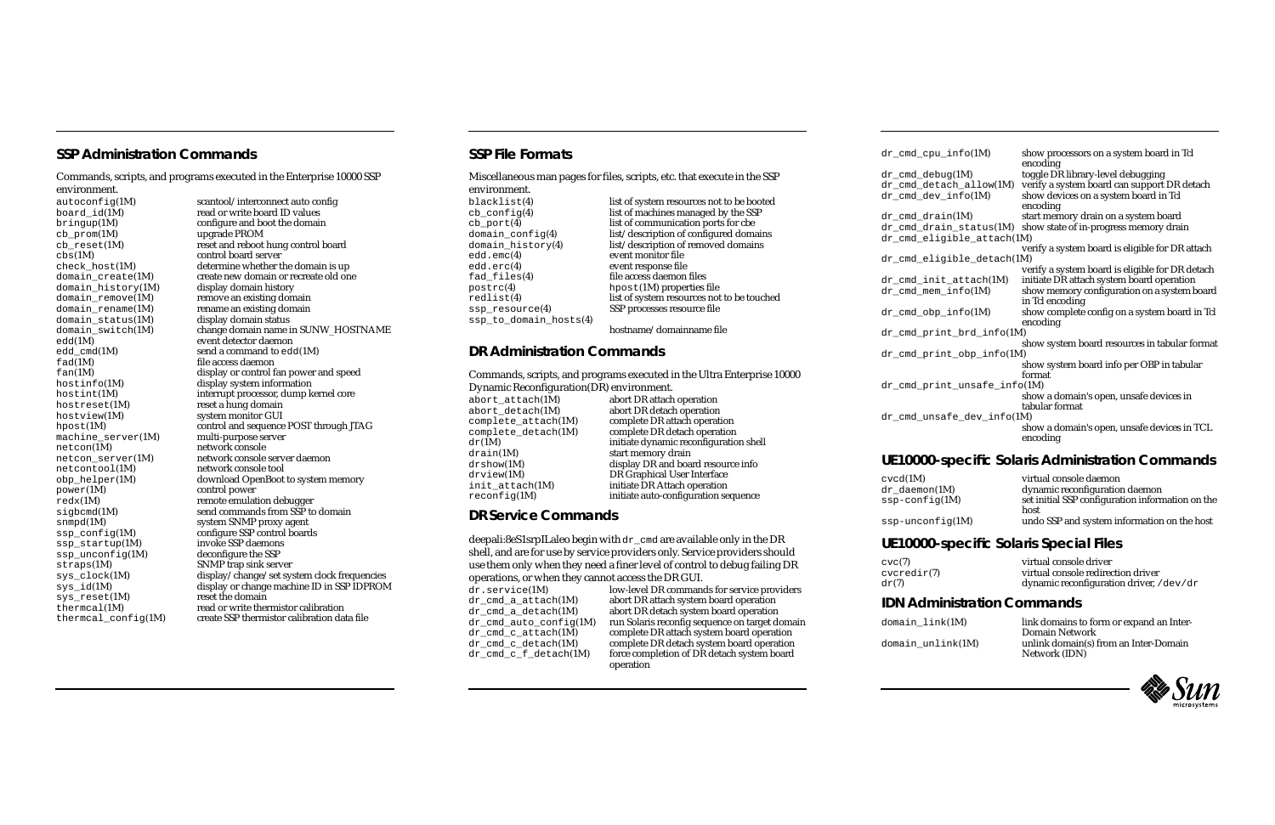#### **SSP Administration Commands**

Commands, scripts, and programs executed in the Enterprise 10000 SSP environment.

cb\_prom(1M) upgrade PROM<br>cb\_reset(1M) reset and reboot domain\_history( $1M$ )<br>domain\_remove( $1M$ ) domain\_remove(1M) remove an existing domain<br>domain\_rename(1M) rename an existing domain domain\_status(1M)<br>domain switch(1M) edd(1M) event detector daemon<br>
edd cmd(1M) send a command to edd fad(1M) file access daemon<br>
fan(1M) file access daemon<br>
display or control f hostreset(1M) reset a hung domain<br>hostyiew(1M) system monitor GUI hostview(1M) system monitor GUI<br>hpost(1M) control and sequence machine\_server(1M) netcon(1M) netcontool(1M) network console tool power(1M) control power<br>redx(1M) remote emulation snmpd(1M) system SNMP proxy agent<br>ssp\_config(1M) configure SSP control board  $ssp\_unconfig(1M)$ <br>straps $(1M)$ straps(1M) SNMP trap sink server<br>sys\_clock(1M) display/change/set sys  $sys\_reset(1M)$ 

autoconfig(1M) scantool/interconnect auto config<br>board id(1M) read or write board ID values read or write board ID values  $\begin{array}{ll}\n\text{bringup}(1M) \\
\text{ch } \text{prom}(1M) \\
\text{d} \text{prom}(1M) \\
\text{d} \text{pgram} \\
\text{d} \text{pram} \\
\text{d} \text{pgram} \\
\text{d} \text{pram} \\
\text{d} \text{pram} \\
\text{pgram} \\
\text{pgram} \\
\text{pgram} \\
\text{pgram} \\
\text{pgram} \\
\text{pgram} \\
\text{pgram} \\
\text{pgram} \\
\text{pgram} \\
\text{pgram} \\
\text{pgram} \\
\text{pgram} \\
\text{pgram} \\
\text{pmean} \\
\text{pgram} \\
\text{pmean} \\
\$ cb\_reset(1M) reset and reboot hung control board<br>cbs(1M) control board server control board server  $\text{check\_host}(1M)$  determine whether the domain is up<br>domain  $\text{create}(1M)$  create new domain or recreate old one create new domain or recreate old one<br>display domain history rename an existing domain<br>display domain status domain\_switch(1M) change domain name in SUNW\_HOSTNAME edd(1M) event detector daemon edd\_cmd(1M) send a command to edd(1M)<br>
fad(1M) file access daemon fan(1M) display or control fan power and speed<br>hostinfo(1M) display system information hostinfo(1M) display system information<br>hostint(1M) interrupt processor, dump k hostint(1M) interrupt processor, dump kernel core<br>hostreset(1M) reset a hung domain control and sequence POST through JTAG<br>multi-purpose server network console netcon\_server(1M) network console server daemon  $\begin{array}{ll}\n\text{obj\_heller}(1M) \\
\text{power}(1M) \\
\text{control power}\n\end{array}$ redx(1M) remote emulation debugger sigbcmd(1M) send commands from SSP to domain ssp\_config(1M) configure SSP control boards<br>ssp\_startup(1M) invoke SSP daemons invoke SSP daemons<br>deconfigure the SSP sys\_clock(1M) display/change/set system clock frequencies<br>sys\_id(1M) display or change machine ID in SSP IDPROM display or change machine ID in SSP IDPROM<br>reset the domain  $t$ hermcal $(1M)$  read or write thermistor calibration thermcal  $confiq(1M)$  create SSP thermistor calibration data file

#### **SSP File Formats**

drain(1M) start memory drain<br>drshow(1M) display DR and boar

| $dr$ cmd cpu info(1M)        | show processors on a system board in Tcl                |
|------------------------------|---------------------------------------------------------|
|                              | encoding                                                |
| $dr$ cmd debug $(1M)$        | toggle DR library-level debugging                       |
| dr_cmd_detach_allow(1M)      | verify a system board can support DR detach             |
| dr_cmd_dev_info(1M)          | show devices on a system board in Tcl<br>encoding       |
| $dr$ cmd drain $(1M)$        | start memory drain on a system board                    |
| dr cmd drain status(1M)      | show state of in-progress memory drain                  |
| dr_cmd_eligible_attach(1M)   |                                                         |
|                              | verify a system board is eligible for DR attach         |
| dr_cmd_eligible_detach(1M)   |                                                         |
|                              | verify a system board is eligible for DR detach         |
| $dr\_cmd\_init\_attack(1M)$  | initiate DR attach system board operation               |
| $dr\_cmd\_mem\_info(1M)$     | show memory configuration on a system board             |
|                              | in Tcl encoding                                         |
| $dr\_cmd\_obj\_info(1M)$     | show complete config on a system board in Tcl           |
|                              | encoding                                                |
| dr_cmd_print_brd_info(1M)    |                                                         |
|                              | show system board resources in tabular format           |
| dr_cmd_print_obp_info(1M)    |                                                         |
|                              | show system board info per OBP in tabular               |
|                              | format                                                  |
| dr_cmd_print_unsafe_info(1M) |                                                         |
|                              | show a domain's open, unsafe devices in                 |
|                              | tabular format                                          |
| dr_cmd_unsafe_dev_info(1M)   |                                                         |
|                              |                                                         |
|                              | show a domain's open, unsafe devices in TCL<br>encoding |
|                              |                                                         |

domain\_link(1M) link domains to form or expand an Inter-Domain Network domain\_unlink(1M) unlink domain(s) from an Inter-Domain Network (IDN)



**DR Service Commands**

drshow(1M) display DR and board resource info<br>drview(1M) DR Graphical User Interface drview(1M) DR Graphical User Interface<br>init\_attach(1M) initiate DR Attach operation init\_attach(1M) initiate DR Attach operation<br>reconfig(1M) initiate auto-configuration se

deepali:8eS1srpILaleo begin with dr\_cmd are available only in the DR shell, and are for use by service providers only. Service providers should use them only when they need <sup>a</sup> finer level of control to debug failing DR

dr.service(1M) low-level DR commands for service providers<br>dr\_cmd\_a\_attach(1M) abort DR attach system board operation dr\_cmd\_a\_attach(1M) abort DR attach system board operation<br>dr\_cmd\_a\_detach(1M) abort DR detach system board operation dr\_cmd\_a\_detach(1M) abort DR detach system board operation<br>dr\_cmd\_auto\_config(1M) run Solaris reconfig sequence on target de dr\_cmd\_auto\_config(1M) run Solaris reconfig sequence on target domain<br>dr\_cmd\_c\_attach(1M) complete DR attach system board operation  $d_{\text{T-cmd}} = \text{atan}(1\text{M})$  complete DR attach system board operation<br>  $d_{\text{T-cmd}} = d_{\text{etach}}(1\text{M})$  complete DR detach system board operation  $d\textbf{r}\_\text{cmd}\_\text{c}\_\text{d}$  etach(1M) complete DR detach system board operation  $d\textbf{r}\_\text{cmd}\_\text{c}\_\text{f}\_\text{d}$  etach(1M) force completion of DR detach system board

| Miscellaneous man pages for files, scripts, etc. that execute in the SSP<br>environment. |                                                                        | dr cmd deb<br>dr_cmd_det |
|------------------------------------------------------------------------------------------|------------------------------------------------------------------------|--------------------------|
| blacklist(4)                                                                             | list of system resources not to be booted                              | dr cmd dev               |
| $cb\_config(4)$                                                                          | list of machines managed by the SSP                                    | dr_cmd_dra               |
| $cb\_port(4)$                                                                            | list of communication ports for cbe                                    | dr_cmd_dra               |
| domain config $(4)$                                                                      | list/description of configured domains                                 | dr_cmd_eli               |
| $domain\_history(4)$                                                                     | list/description of removed domains                                    |                          |
| edd . emc(4)                                                                             | event monitor file                                                     | dr cmd eli               |
| edd.erc(4)                                                                               | event response file                                                    |                          |
| $fad_files(4)$                                                                           | file access daemon files                                               | dr_cmd_ini               |
| postrc(4)                                                                                | $h$ post $(1M)$ properties file                                        | dr cmd men               |
| redlist(4)                                                                               | list of system resources not to be touched                             |                          |
| $ssp\_resource(4)$                                                                       | SSP processes resource file                                            | dr_cmd_obp               |
| $ssp_to_domain_hosts(4)$                                                                 |                                                                        |                          |
|                                                                                          | hostname/domainname file                                               | dr cmd pri               |
| DR Administration Commands                                                               |                                                                        | dr cmd pri               |
|                                                                                          | Commands, scripts, and programs executed in the Ultra Enterprise 10000 |                          |
| Dynamic Reconfiguration (DR) environment.                                                |                                                                        | dr_cmd_pri               |
| abort_attach(1M)                                                                         | abort DR attach operation                                              |                          |
| abort detach(1M)                                                                         | abort DR detach operation                                              |                          |
| complete $attach(1M)$                                                                    | complete DR attach operation                                           | dr_cmd_uns               |
| complete_detach(1M)                                                                      | complete DR detach operation                                           |                          |
| dr(1M)                                                                                   | initiate dynamic reconfiguration shell                                 |                          |
| drain(1M)                                                                                | start memory drain                                                     | IIFAAAA                  |

initiate auto-configuration sequence

force completion of DR detach system board

 $cvcd(1M)$ dr\_daemon( ssp-confiq

ssp-unconf

operations, or when they cannot access the DR GUI.

operation

# **UE10000-specific Solaris Administration Commands**

|                | virtual console daemon                           |
|----------------|--------------------------------------------------|
| (1M)           | dynamic reconfiguration daemon                   |
| $_{\rm 7(1M)}$ | set initial SSP configuration information on the |
|                | host                                             |
| fiq $(1M)$     | undo SSP and system information on the host      |

#### **UE10000-specific Solaris Special Files**

 $\text{cyc}(7)$  $c$ v $c$ redir $(7)$ 

| cvc(7)      | virtual console driver                  |
|-------------|-----------------------------------------|
| cvcredir(7) | virtual console redirection driver      |
| dr(7)       | dynamic reconfiguration driver, /dev/dr |

#### **IDN Administration Commands**